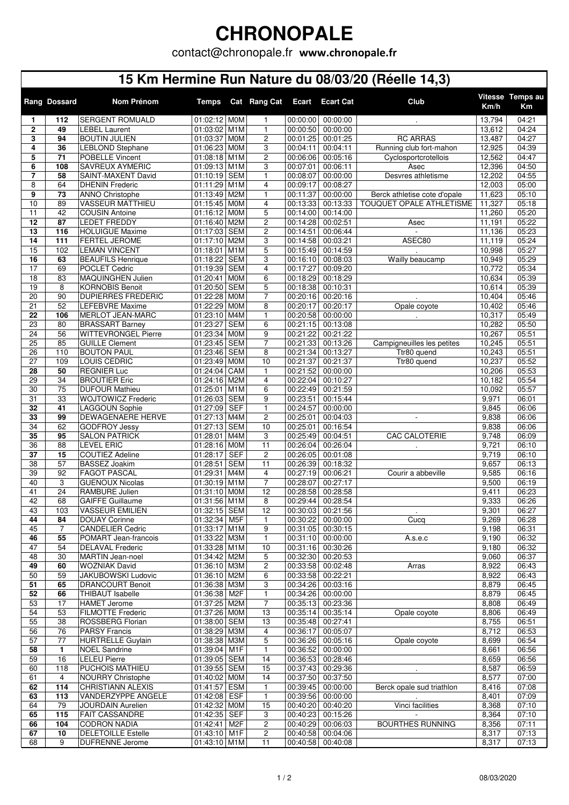## **CHRONOPALE**

contact@chronopale.fr **www.chronopale.fr**

## **15 Km Hermine Run Nature du 08/03/20 (Réelle 14,3)**

|                     | Rang Dossard          | Nom Prénom                                          | <b>Temps</b>                   |            | Cat Rang Cat                      | Ecart                | <b>Ecart Cat</b>              | Club                                            | Km/h             | Vitesse Temps au<br>Km |
|---------------------|-----------------------|-----------------------------------------------------|--------------------------------|------------|-----------------------------------|----------------------|-------------------------------|-------------------------------------------------|------------------|------------------------|
| 1                   | 112                   | <b>SERGENT ROMUALD</b>                              | 01:02:12 M0M                   |            | 1                                 | 00:00:00             | 00:00:00                      | $\mathcal{L}_{\rm{max}}$ .                      | 13,794           | 04:21                  |
| $\mathbf 2$         | 49                    | <b>LEBEL Laurent</b>                                | 01:03:02 M1M                   |            | $\mathbf{1}$                      | 00:00:50             | 00:00:00                      |                                                 | 13,612           | 04:24                  |
| 3                   | 94                    | <b>BOUTIN JULIEN</b>                                | 01:03:37 M0M                   |            | $\overline{2}$                    | 00:01:25             | 00:01:25                      | <b>RC ARRAS</b>                                 | 13,487           | 04:27                  |
| 4<br>$\overline{5}$ | 36<br>$\overline{71}$ | <b>LEBLOND Stephane</b><br><b>POBELLE Vincent</b>   | 01:06:23 M0M<br>01:08:18 M1M   |            | 3<br>2                            | 00:04:11<br>00:06:06 | 00:04:11<br>00:05:16          | Running club fort-mahon<br>Cyclosportcrotellois | 12,925<br>12,562 | 04:39<br>04:47         |
| 6                   | 108                   | SAVREUX AYMERIC                                     | 01:09:13 M1M                   |            | 3                                 | 00:07:01             | 00:06:11                      | Asec                                            | 12,396           | 04:50                  |
| $\overline{7}$      | 58                    | SAINT-MAXENT David                                  | 01:10:19 SEM                   |            | $\mathbf{1}$                      | 00:08:07             | 00:00:00                      | Desvres athletisme                              | 12,202           | 04:55                  |
| 8                   | 64                    | <b>DHENIN Frederic</b>                              | 01:11:29 M1M                   |            | $\overline{4}$                    | 00:09:17             | 00:08:27                      |                                                 | 12,003           | 05:00                  |
| 9                   | 73                    | <b>ANNO Christophe</b>                              | 01:13:49 M2M                   |            | 1                                 | 00:11:37             | 00:00:00                      | Berck athletise cote d'opale                    | 11,623           | 05:10                  |
| 10                  | 89                    | VASSEUR MATTHIEU                                    | 01:15:45 M0M                   |            | $\overline{4}$                    | 00:13:33             | 00:13:33                      | TOUQUET OPALE ATHLETISME                        | 11,327           | 05:18                  |
| 11<br>12            | 42<br>87              | <b>COUSIN Antoine</b><br><b>LEDET FREDDY</b>        | $01:16:12$ MOM<br>01:16:40 M2M |            | 5<br>2                            | 00:14:00<br>00:14:28 | 00:14:00<br>00:02:51          | Asec                                            | 11,260<br>11,191 | 05:20<br>05:22         |
| 13                  | 116                   | <b>HOLUIGUE Maxime</b>                              | 01:17:03 SEM                   |            | 2                                 | 00:14:51             | 00:06:44                      | $\Delta \sim 10^{-11}$                          | 11,136           | 05:23                  |
| 14                  | 111                   | FERTEL JEROME                                       | 01:17:10 M2M                   |            | 3                                 | 00:14:58             | 00:03:21                      | ASEC80                                          | 11,119           | 05:24                  |
| 15                  | 102                   | <b>LEMAN VINCENT</b>                                | 01:18:01 M1M                   |            | 5                                 | 00:15:49             | 00:14:59                      |                                                 | 10,998           | 05:27                  |
| 16                  | 63                    | <b>BEAUFILS Henrique</b>                            | 01:18:22 SEM                   |            | 3                                 | 00:16:10             | 00:08:03                      | Wailly beaucamp                                 | 10,949           | 05:29                  |
| 17                  | 69                    | POCLET Cedric                                       | 01:19:39 SEM                   |            | 4                                 | 00:17:27             | 00:09:20                      |                                                 | 10,772           | 05:34                  |
| 18                  | 83                    | MAQUINGHEN Julien                                   | 01:20:41 M0M                   |            | 6                                 | 00:18:29             | 00:18:29                      |                                                 | 10,634           | 05:39                  |
| 19<br>20            | 8<br>90               | <b>KORNOBIS Benoit</b><br><b>DUPIERRES FREDERIC</b> | 01:20:50 SEM<br>01:22:28 M0M   |            | 5<br>$\overline{7}$               | 00:18:38<br>00:20:16 | 00:10:31<br>00:20:16          |                                                 | 10,614<br>10,404 | 05:39<br>05:46         |
| $\overline{21}$     | 52                    | <b>LEFEBVRE Maxime</b>                              | 01:22:29 M0M                   |            | 8                                 | 00:20:17             | 00:20:17                      | Opale coyote                                    | 10,402           | 05:46                  |
| 22                  | 106                   | MERLOT JEAN-MARC                                    | 01:23:10 M4M                   |            | $\mathbf{1}$                      | 00:20:58             | 00:00:00                      | $\sim$                                          | 10,317           | 05:49                  |
| 23                  | 80                    | <b>BRASSART Barney</b>                              | 01:23:27                       | <b>SEM</b> | 6                                 | 00:21:15             | 00:13:08                      |                                                 | 10,282           | 05:50                  |
| 24                  | 56                    | <b>WITTEVRONGEL Pierre</b>                          | 01:23:34 M0M                   |            | 9                                 | 00:21:22             | 00:21:22                      |                                                 | 10,267           | 05:51                  |
| 25                  | 85                    | <b>GUILLE Clement</b>                               | 01:23:45 SEM                   |            | $\overline{7}$                    | 00:21:33             | 00:13:26                      | Campigneuilles les petites                      | 10,245           | 05:51                  |
| 26                  | 110                   | <b>BOUTON PAUL</b>                                  | 01:23:46 SEM                   |            | 8                                 | 00:21:34             | 00:13:27                      | Ttr80 quend                                     | 10,243           | 05:51                  |
| 27<br>28            | 109<br>50             | LOUIS CEDRIC<br><b>REGNIER Luc</b>                  | 01:23:49 M0M<br>01:24:04 CAM   |            | 10<br>$\mathbf{1}$                | 00:21:37<br>00:21:52 | 00:21:37<br>00:00:00          | Ttr80 quend                                     | 10,237<br>10,206 | 05:52<br>05:53         |
| 29                  | 34                    | <b>BROUTIER Eric</b>                                | 01:24:16 M2M                   |            | 4                                 | 00:22:04             | 00:10:27                      |                                                 | 10,182           | 05:54                  |
| 30                  | $\overline{75}$       | <b>DUFOUR Mathieu</b>                               | 01:25:01 M1M                   |            | 6                                 | 00:22:49             | 00:21:59                      |                                                 | 10,092           | 05:57                  |
| 31                  | 33                    | WOJTOWICZ Frederic                                  | 01:26:03 SEM                   |            | 9                                 | 00:23:51             | 00:15:44                      |                                                 | 9,971            | 06:01                  |
| 32                  | 41                    | LAGGOUN Sophie                                      | 01:27:09 SEF                   |            | $\mathbf{1}$                      | 00:24:57             | 00:00:00                      |                                                 | 9,845            | 06:06                  |
| 33                  | 99                    | DEWAGENAERE HERVE                                   | 01:27:13 M4M                   |            | $\overline{c}$                    | 00:25:01             | 00:04:03                      | $\sim$                                          | 9,838            | 06:06                  |
| $\overline{34}$     | 62                    | <b>GODFROY Jessy</b>                                | 01:27:13 SEM                   |            | 10                                | 00:25:01             | 00:16:54                      |                                                 | 9,838            | 06:06                  |
| 35<br>36            | 95<br>88              | <b>SALON PATRICK</b><br><b>LEVEL ERIC</b>           | 01:28:01 M4M<br>01:28:16 M0M   |            | 3<br>11                           | 00:25:49<br>00:26:04 | 00:04:51<br>00:26:04          | CAC CALOTERIE                                   | 9,748<br>9,721   | 06:09<br>06:10         |
| 37                  | 15                    | <b>COUTIEZ Adeline</b>                              | 01:28:17                       | <b>SEF</b> | 2                                 | 00:26:05             | 00:01:08                      |                                                 | 9,719            | 06:10                  |
| 38                  | 57                    | <b>BASSEZ Joakim</b>                                | 01:28:51                       | <b>SEM</b> | 11                                | 00:26:39             | 00:18:32                      |                                                 | 9,657            | 06:13                  |
| 39                  | 92                    | <b>FAGOT PASCAL</b>                                 | 01:29:31 M4M                   |            | $\overline{4}$                    | 00:27:19             | 00:06:21                      | Courir a abbeville                              | 9,585            | 06:16                  |
| 40                  | 3                     | <b>GUENOUX Nicolas</b>                              | 01:30:19 M1M                   |            | $\overline{7}$                    | 00:28:07             | 00:27:17                      |                                                 | 9,500            | 06:19                  |
| 41                  | 24                    | RAMBURE Julien                                      | 01:31:10 M0M                   |            | 12                                | 00:28:58             | 00:28:58                      |                                                 | 9,411            | 06:23                  |
| 42                  | 68                    | <b>GAIFFE Guillaume</b>                             | 01:31:56 M1M                   |            | 8                                 | 00:29:44             | 00:28:54                      |                                                 | 9,333            | 06:26                  |
| 43<br>44            | 103<br>84             | <b>VASSEUR EMILIEN</b><br><b>DOUAY Corinne</b>      | 01:32:15 SEM<br>01:32:34 M5F   |            | $\overline{12}$<br>$\overline{1}$ | 00:30:03             | 00:21:56<br>00:30:22 00:00:00 | Cucq                                            | 9,301<br>9,269   | 06:27<br>06:28         |
| 45                  | 7                     | <b>CANDELIER Cedric</b>                             | 01:33:17 M1M                   |            | 9                                 | 00:31:05             | 00:30:15                      |                                                 | 9,198            | 06:31                  |
| 46                  | 55                    | POMART Jean-francois                                | 01:33:22 M3M                   |            | 1                                 | 00:31:10             | 00:00:00                      | A.s.e.c                                         | 9,190            | 06:32                  |
| 47                  | 54                    | <b>DELAVAL Frederic</b>                             | 01:33:28 M1M                   |            | 10                                | 00:31:16             | 00:30:26                      |                                                 | 9,180            | 06:32                  |
| 48                  | 30                    | <b>MARTIN Jean-noel</b>                             | 01:34:42 M2M                   |            | 5                                 | 00:32:30             | 00:20:53                      |                                                 | 9,060            | 06:37                  |
| 49                  | 60                    | <b>WOZNIAK David</b>                                | 01:36:10 M3M                   |            | 2                                 | 00:33:58             | 00:02:48                      | Arras                                           | 8,922            | 06:43                  |
| 50                  | 59                    | JAKUBOWSKI Ludovic                                  | 01:36:10 M2M                   |            | 6                                 | 00:33:58             | 00:22:21                      |                                                 | 8,922            | 06:43                  |
| 51<br>52            | 65<br>66              | <b>DRANCOURT Benoit</b><br><b>THIBAUT Isabelle</b>  | 01:36:38 M3M<br>01:36:38 M2F   |            | 3<br>1                            | 00:34:26<br>00:34:26 | 00:03:16<br>00:00:00          |                                                 | 8,879<br>8,879   | 06:45<br>06:45         |
| 53                  | 17                    | <b>HAMET Jerome</b>                                 | 01:37:25 M2M                   |            | 7                                 | 00:35:13             | 00:23:36                      |                                                 | 8,808            | 06:49                  |
| 54                  | 53                    | <b>FILMOTTE Frederic</b>                            | 01:37:26 M0M                   |            | 13                                | 00:35:14             | 00:35:14                      | Opale coyote                                    | 8,806            | 06:49                  |
| 55                  | 38                    | ROSSBERG Florian                                    | 01:38:00 SEM                   |            | 13                                | 00:35:48             | 00:27:41                      |                                                 | 8,755            | 06:51                  |
| 56                  | 76                    | <b>PARSY Francis</b>                                | 01:38:29 M3M                   |            | 4                                 | 00:36:17             | 00:05:07                      |                                                 | 8,712            | 06:53                  |
| 57                  | 77                    | <b>HURTRELLE Guylain</b>                            | 01:38:38 M3M                   |            | 5                                 | 00:36:26             | 00:05:16                      | Opale covote                                    | 8,699            | 06:54                  |
| 58                  | 1                     | <b>NOEL Sandrine</b>                                | 01:39:04 M1F                   |            | 1                                 | 00:36:52             | 00:00:00                      |                                                 | 8,661            | 06:56                  |
| 59<br>60            | 16<br>118             | <b>LELEU Pierre</b><br>PUCHOIS MATHIEU              | 01:39:05 SEM<br>01:39:55 SEM   |            | 14<br>15                          | 00:36:53<br>00:37:43 | 00:28:46<br>00:29:36          |                                                 | 8,659<br>8,587   | 06:56<br>06:59         |
| 61                  | $\overline{4}$        | <b>NOURRY Christophe</b>                            | 01:40:02 M0M                   |            | 14                                | 00:37:50             | 00:37:50                      |                                                 | 8,577            | 07:00                  |
| 62                  | 114                   | <b>CHRISTIANN ALEXIS</b>                            | 01:41:57 ESM                   |            | $\mathbf{1}$                      | 00:39:45             | 00:00:00                      | Berck opale sud triathlon                       | 8,416            | 07:08                  |
| 63                  | 113                   | VANDERZYPPE ANGELE                                  | 01:42:08 ESF                   |            | 1                                 | 00:39:56             | 00:00:00                      |                                                 | 8,401            | 07:09                  |
| 64                  | 79                    | <b>JOURDAIN Aurelien</b>                            | 01:42:32 M0M                   |            | 15                                | 00:40:20             | 00:40:20                      | Vinci facilities                                | 8,368            | 07:10                  |
| 65                  | 115                   | <b>FAIT CASSANDRE</b>                               | 01:42:35 SEF                   |            | 3                                 | 00:40:23             | 00:15:26                      | $\mathbf{r}$                                    | 8,364            | 07:10                  |
| 66                  | 104                   | <b>CODRON NADIA</b>                                 | 01:42:41 M2F                   |            | 2                                 | 00:40:29             | 00:06:03                      | <b>BOURTHES RUNNING</b>                         | 8,356            | 07:11                  |
| 67                  | 10                    | <b>DELETOILLE Estelle</b>                           | 01:43:10 M1F                   |            | 2<br>11                           | 00:40:58             | 00:04:06                      |                                                 | 8,317            | 07:13                  |
| 68                  | 9                     | <b>DUFRENNE Jerome</b>                              | 01:43:10 M1M                   |            |                                   |                      | 00:40:58 00:40:08             |                                                 | 8,317            | 07:13                  |